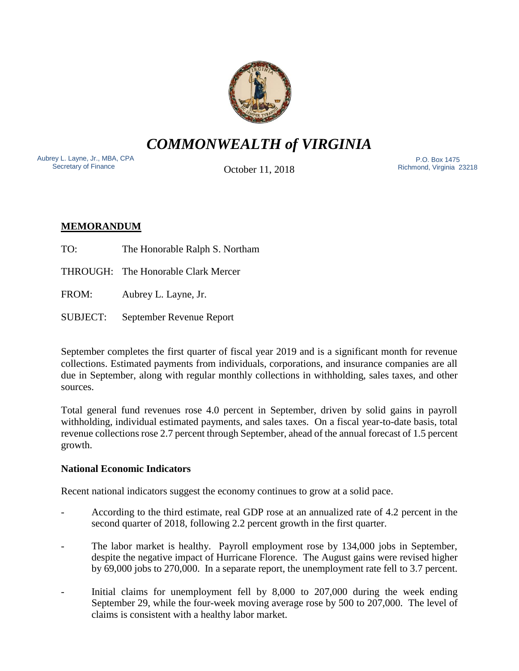

*COMMONWEALTH of VIRGINIA*

Aubrey L. Layne, Jr., MBA, CPA Secretary of Finance

October 11, 2018

 P.O. Box 1475 Richmond, Virginia 23218

# **MEMORANDUM**

TO: The Honorable Ralph S. Northam

THROUGH: The Honorable Clark Mercer

FROM: Aubrey L. Layne, Jr.

SUBJECT: September Revenue Report

September completes the first quarter of fiscal year 2019 and is a significant month for revenue collections. Estimated payments from individuals, corporations, and insurance companies are all due in September, along with regular monthly collections in withholding, sales taxes, and other sources.

Total general fund revenues rose 4.0 percent in September, driven by solid gains in payroll withholding, individual estimated payments, and sales taxes. On a fiscal year-to-date basis, total revenue collections rose 2.7 percent through September, ahead of the annual forecast of 1.5 percent growth.

## **National Economic Indicators**

Recent national indicators suggest the economy continues to grow at a solid pace.

- According to the third estimate, real GDP rose at an annualized rate of 4.2 percent in the second quarter of 2018, following 2.2 percent growth in the first quarter.
- The labor market is healthy. Payroll employment rose by 134,000 jobs in September, despite the negative impact of Hurricane Florence. The August gains were revised higher by 69,000 jobs to 270,000. In a separate report, the unemployment rate fell to 3.7 percent.
- Initial claims for unemployment fell by 8,000 to 207,000 during the week ending September 29, while the four-week moving average rose by 500 to 207,000. The level of claims is consistent with a healthy labor market.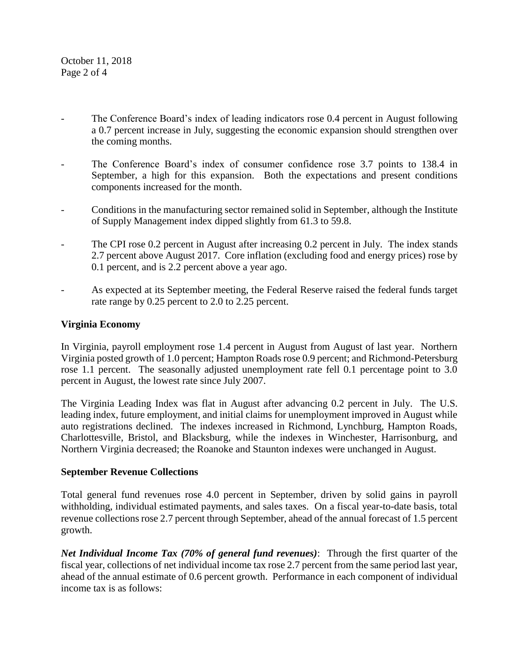October 11, 2018 Page 2 of 4

- The Conference Board's index of leading indicators rose 0.4 percent in August following a 0.7 percent increase in July, suggesting the economic expansion should strengthen over the coming months.
- The Conference Board's index of consumer confidence rose 3.7 points to 138.4 in September, a high for this expansion. Both the expectations and present conditions components increased for the month.
- Conditions in the manufacturing sector remained solid in September, although the Institute of Supply Management index dipped slightly from 61.3 to 59.8.
- The CPI rose 0.2 percent in August after increasing 0.2 percent in July. The index stands 2.7 percent above August 2017. Core inflation (excluding food and energy prices) rose by 0.1 percent, and is 2.2 percent above a year ago.
- As expected at its September meeting, the Federal Reserve raised the federal funds target rate range by 0.25 percent to 2.0 to 2.25 percent.

## **Virginia Economy**

In Virginia, payroll employment rose 1.4 percent in August from August of last year. Northern Virginia posted growth of 1.0 percent; Hampton Roads rose 0.9 percent; and Richmond-Petersburg rose 1.1 percent. The seasonally adjusted unemployment rate fell 0.1 percentage point to 3.0 percent in August, the lowest rate since July 2007.

The Virginia Leading Index was flat in August after advancing 0.2 percent in July. The U.S. leading index, future employment, and initial claims for unemployment improved in August while auto registrations declined. The indexes increased in Richmond, Lynchburg, Hampton Roads, Charlottesville, Bristol, and Blacksburg, while the indexes in Winchester, Harrisonburg, and Northern Virginia decreased; the Roanoke and Staunton indexes were unchanged in August.

#### **September Revenue Collections**

Total general fund revenues rose 4.0 percent in September, driven by solid gains in payroll withholding, individual estimated payments, and sales taxes. On a fiscal year-to-date basis, total revenue collections rose 2.7 percent through September, ahead of the annual forecast of 1.5 percent growth.

*Net Individual Income Tax (70% of general fund revenues)*: Through the first quarter of the fiscal year, collections of net individual income tax rose 2.7 percent from the same period last year, ahead of the annual estimate of 0.6 percent growth. Performance in each component of individual income tax is as follows: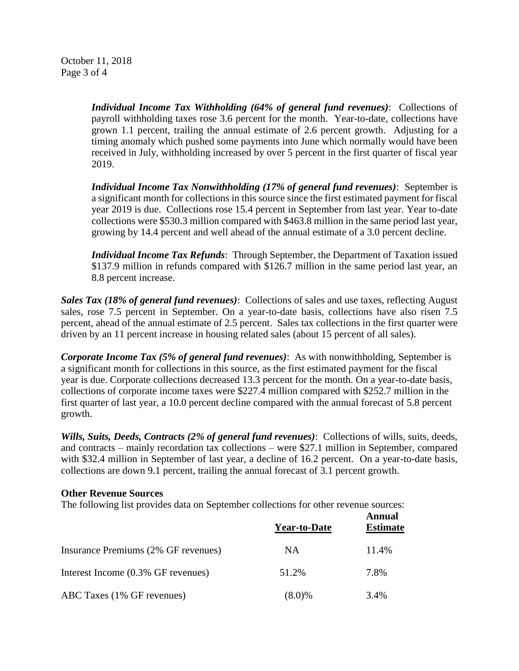October 11, 2018 Page 3 of 4

> *Individual Income Tax Withholding (64% of general fund revenues)*: Collections of payroll withholding taxes rose 3.6 percent for the month. Year-to-date, collections have grown 1.1 percent, trailing the annual estimate of 2.6 percent growth. Adjusting for a timing anomaly which pushed some payments into June which normally would have been received in July, withholding increased by over 5 percent in the first quarter of fiscal year 2019.

> *Individual Income Tax Nonwithholding (17% of general fund revenues)*: September is a significant month for collections in this source since the first estimated payment for fiscal year 2019 is due. Collections rose 15.4 percent in September from last year. Year to-date collections were \$530.3 million compared with \$463.8 million in the same period last year, growing by 14.4 percent and well ahead of the annual estimate of a 3.0 percent decline.

> *Individual Income Tax Refunds*: Through September, the Department of Taxation issued \$137.9 million in refunds compared with \$126.7 million in the same period last year, an 8.8 percent increase.

*Sales Tax (18% of general fund revenues)*: Collections of sales and use taxes, reflecting August sales, rose 7.5 percent in September. On a year-to-date basis, collections have also risen 7.5 percent, ahead of the annual estimate of 2.5 percent. Sales tax collections in the first quarter were driven by an 11 percent increase in housing related sales (about 15 percent of all sales).

*Corporate Income Tax (5% of general fund revenues)*: As with nonwithholding, September is a significant month for collections in this source, as the first estimated payment for the fiscal year is due. Corporate collections decreased 13.3 percent for the month. On a year-to-date basis, collections of corporate income taxes were \$227.4 million compared with \$252.7 million in the first quarter of last year, a 10.0 percent decline compared with the annual forecast of 5.8 percent growth.

*Wills, Suits, Deeds, Contracts (2% of general fund revenues)*: Collections of wills, suits, deeds, and contracts – mainly recordation tax collections – were \$27.1 million in September, compared with \$32.4 million in September of last year, a decline of 16.2 percent. On a year-to-date basis, collections are down 9.1 percent, trailing the annual forecast of 3.1 percent growth.

#### **Other Revenue Sources**

The following list provides data on September collections for other revenue sources:

|                                     | <b>Year-to-Date</b> | Annual<br><b>Estimate</b> |
|-------------------------------------|---------------------|---------------------------|
| Insurance Premiums (2% GF revenues) | NA.                 | 11.4%                     |
| Interest Income (0.3% GF revenues)  | 51.2%               | 7.8%                      |
| ABC Taxes (1% GF revenues)          | $(8.0)\%$           | 3.4%                      |